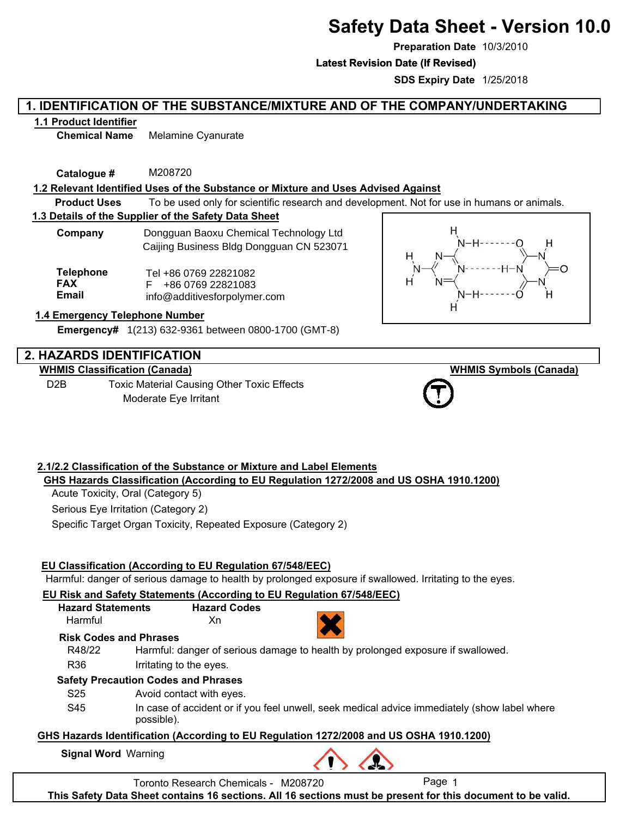# **Safety Data Sheet - Version 10.0**

**Preparation Date** 10/3/2010

**Latest Revision Date (If Revised) Latest Revision Date (If Revised)**

**SDS Expiry Date** 1/25/2018

# **1. IDENTIFICATION OF THE SUBSTANCE/MIXTURE AND OF THE COMPANY/UNDERTAKING**

### **1.1 Product Identifier**

**Chemical Name** Melamine Cyanurate

**Catalogue #** M208720

### **1.2 Relevant Identified Uses of the Substance or Mixture and Uses Advised Against**

**Product Uses** To be used only for scientific research and development. Not for use in humans or animals.

# **1.3 Details of the Supplier of the Safety Data Sheet**

| Company | Dongguan Baoxu Chemical Technology Ltd   |
|---------|------------------------------------------|
|         | Caijing Business Bldg Dongguan CN 523071 |

**Telephone FAX Email** Tel +86 0769 22821082 F +86 0769 22821083 info@additivesforpolymer.com

### **1.4 Emergency Telephone Number**

**Emergency#** 1(213) 632-9361 between 0800-1700 (GMT-8)

# **2. HAZARDS IDENTIFICATION**

**WHMIS Classification (Canada)** D2B Toxic Material Causing Other Toxic Effects Moderate Eye Irritant



**WHMIS Symbols (Canada)**



# **2.1/2.2 Classification of the Substance or Mixture and Label Elements GHS Hazards Classification (According to EU Regulation 1272/2008 and US OSHA 1910.1200)**

Acute Toxicity, Oral (Category 5)

Serious Eye Irritation (Category 2)

Specific Target Organ Toxicity, Repeated Exposure (Category 2)

### **EU Classification (According to EU Regulation 67/548/EEC)**

Harmful: danger of serious damage to health by prolonged exposure if swallowed. Irritating to the eyes.

### **EU Risk and Safety Statements (According to EU Regulation 67/548/EEC)**

**Hazard Statements Hazard Codes**

Harmful Xn



**Risk Codes and Phrases**

| R48/22 |  |  | Harmful: danger of serious damage to health by prolonged exposure if swallowed. |
|--------|--|--|---------------------------------------------------------------------------------|
|        |  |  |                                                                                 |

R36 Irritating to the eyes.

### **Safety Precaution Codes and Phrases**

S25 Avoid contact with eyes.

S45 In case of accident or if you feel unwell, seek medical advice immediately (show label where possible).

### **GHS Hazards Identification (According to EU Regulation 1272/2008 and US OSHA 1910.1200)**

**Signal Word** Warning

Toronto Research Chemicals - M208720 Page 1

**This Safety Data Sheet contains 16 sections. All 16 sections must be present for this document to be valid.**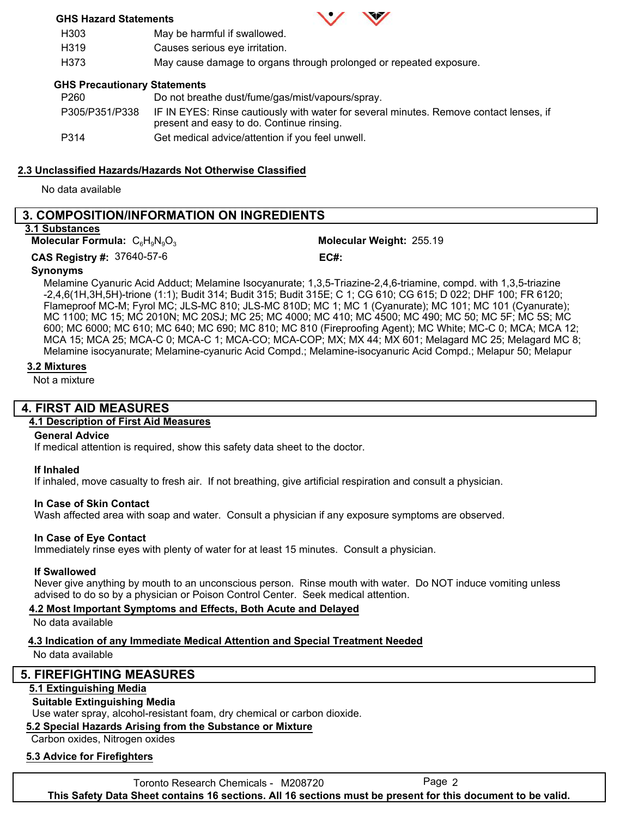### **GHS Hazard Statements**



H303 H319 May be harmful if swallowed. Causes serious eye irritation.

H373 May cause damage to organs through prolonged or repeated exposure.

### **GHS Precautionary Statements**

| P260           | Do not breathe dust/fume/gas/mist/vapours/spray.                                                                                    |
|----------------|-------------------------------------------------------------------------------------------------------------------------------------|
| P305/P351/P338 | IF IN EYES: Rinse cautiously with water for several minutes. Remove contact lenses, if<br>present and easy to do. Continue rinsing. |
| P314           | Get medical advice/attention if you feel unwell.                                                                                    |

# **2.3 Unclassified Hazards/Hazards Not Otherwise Classified**

No data available

# **3. COMPOSITION/INFORMATION ON INGREDIENTS**

### **3.1 Substances**

**Molecular Formula:**  $C_6H_9N_9O_3$ 

Molecular Weight: 255.19 37640-57-6 **CAS Registry #: EC#:**

### **Synonyms**

Melamine Cyanuric Acid Adduct; Melamine Isocyanurate; 1,3,5-Triazine-2,4,6-triamine, compd. with 1,3,5-triazine -2,4,6(1H,3H,5H)-trione (1:1); Budit 314; Budit 315; Budit 315E; C 1; CG 610; CG 615; D 022; DHF 100; FR 6120; Flameproof MC-M; Fyrol MC; JLS-MC 810; JLS-MC 810D; MC 1; MC 1 (Cyanurate); MC 101; MC 101 (Cyanurate); MC 1100; MC 15; MC 2010N; MC 20SJ; MC 25; MC 4000; MC 410; MC 4500; MC 490; MC 50; MC 5F; MC 5S; MC 600; MC 6000; MC 610; MC 640; MC 690; MC 810; MC 810 (Fireproofing Agent); MC White; MC-C 0; MCA; MCA 12; MCA 15; MCA 25; MCA-C 0; MCA-C 1; MCA-CO; MCA-COP; MX; MX 44; MX 601; Melagard MC 25; Melagard MC 8; Melamine isocyanurate; Melamine-cyanuric Acid Compd.; Melamine-isocyanuric Acid Compd.; Melapur 50; Melapur

### **3.2 Mixtures**

Not a mixture

# **4. FIRST AID MEASURES**

# **4.1 Description of First Aid Measures**

### **General Advice**

If medical attention is required, show this safety data sheet to the doctor.

### **If Inhaled**

If inhaled, move casualty to fresh air. If not breathing, give artificial respiration and consult a physician.

### **In Case of Skin Contact**

Wash affected area with soap and water. Consult a physician if any exposure symptoms are observed.

### **In Case of Eye Contact**

Immediately rinse eyes with plenty of water for at least 15 minutes. Consult a physician.

### **If Swallowed**

Never give anything by mouth to an unconscious person. Rinse mouth with water. Do NOT induce vomiting unless advised to do so by a physician or Poison Control Center. Seek medical attention.

### **4.2 Most Important Symptoms and Effects, Both Acute and Delayed**

No data available

# **4.3 Indication of any Immediate Medical Attention and Special Treatment Needed**

No data available

# **5. FIREFIGHTING MEASURES**

# **5.1 Extinguishing Media**

# **Suitable Extinguishing Media**

Use water spray, alcohol-resistant foam, dry chemical or carbon dioxide.

# **5.2 Special Hazards Arising from the Substance or Mixture**

Carbon oxides, Nitrogen oxides

# **5.3 Advice for Firefighters**

Toronto Research Chemicals - M208720 Page 2 **This Safety Data Sheet contains 16 sections. All 16 sections must be present for this document to be valid.**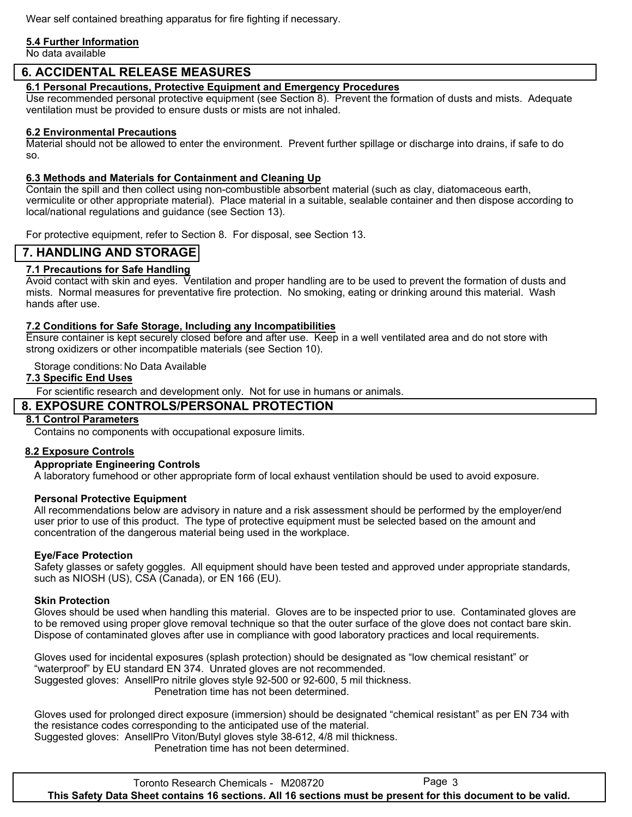Wear self contained breathing apparatus for fire fighting if necessary.

#### **5.4 Further Information**

No data available

# **6. ACCIDENTAL RELEASE MEASURES**

**6.1 Personal Precautions, Protective Equipment and Emergency Procedures**

Use recommended personal protective equipment (see Section 8). Prevent the formation of dusts and mists. Adequate ventilation must be provided to ensure dusts or mists are not inhaled.

#### **6.2 Environmental Precautions**

Material should not be allowed to enter the environment. Prevent further spillage or discharge into drains, if safe to do so.

### **6.3 Methods and Materials for Containment and Cleaning Up**

Contain the spill and then collect using non-combustible absorbent material (such as clay, diatomaceous earth, vermiculite or other appropriate material). Place material in a suitable, sealable container and then dispose according to local/national regulations and guidance (see Section 13).

For protective equipment, refer to Section 8. For disposal, see Section 13.

### **7. HANDLING AND STORAGE**

### **7.1 Precautions for Safe Handling**

Avoid contact with skin and eyes. Ventilation and proper handling are to be used to prevent the formation of dusts and mists. Normal measures for preventative fire protection. No smoking, eating or drinking around this material. Wash hands after use.

#### **7.2 Conditions for Safe Storage, Including any Incompatibilities**

Ensure container is kept securely closed before and after use. Keep in a well ventilated area and do not store with strong oxidizers or other incompatible materials (see Section 10).

Storage conditions: No Data Available

### **7.3 Specific End Uses**

For scientific research and development only. Not for use in humans or animals.

# **8. EXPOSURE CONTROLS/PERSONAL PROTECTION**

### **8.1 Control Parameters**

Contains no components with occupational exposure limits.

### **8.2 Exposure Controls**

### **Appropriate Engineering Controls**

A laboratory fumehood or other appropriate form of local exhaust ventilation should be used to avoid exposure.

### **Personal Protective Equipment**

All recommendations below are advisory in nature and a risk assessment should be performed by the employer/end user prior to use of this product. The type of protective equipment must be selected based on the amount and concentration of the dangerous material being used in the workplace.

### **Eye/Face Protection**

Safety glasses or safety goggles. All equipment should have been tested and approved under appropriate standards, such as NIOSH (US), CSA (Canada), or EN 166 (EU).

### **Skin Protection**

Gloves should be used when handling this material. Gloves are to be inspected prior to use. Contaminated gloves are to be removed using proper glove removal technique so that the outer surface of the glove does not contact bare skin. Dispose of contaminated gloves after use in compliance with good laboratory practices and local requirements.

Gloves used for incidental exposures (splash protection) should be designated as "low chemical resistant" or "waterproof" by EU standard EN 374. Unrated gloves are not recommended. Suggested gloves: AnsellPro nitrile gloves style 92-500 or 92-600, 5 mil thickness. Penetration time has not been determined.

Gloves used for prolonged direct exposure (immersion) should be designated "chemical resistant" as per EN 734 with the resistance codes corresponding to the anticipated use of the material. Suggested gloves: AnsellPro Viton/Butyl gloves style 38-612, 4/8 mil thickness.

Penetration time has not been determined.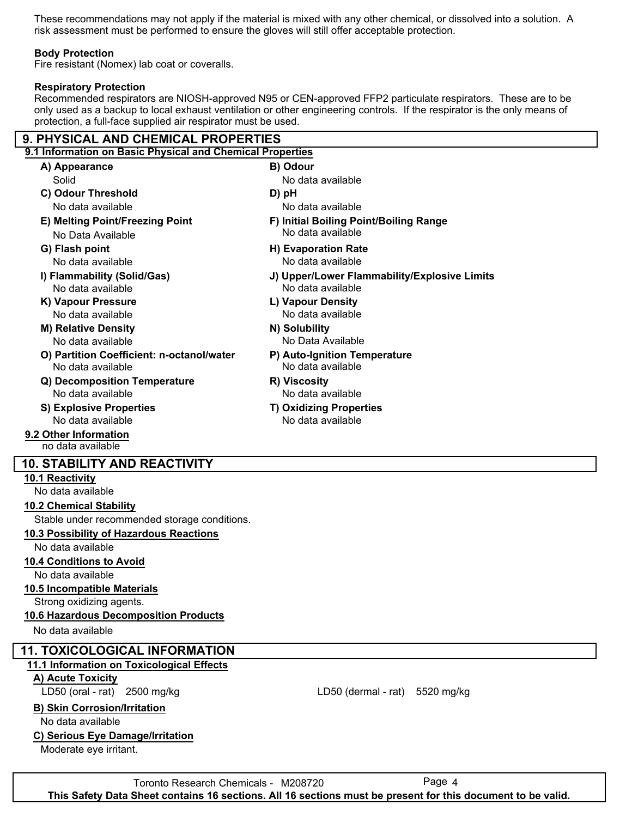These recommendations may not apply if the material is mixed with any other chemical, or dissolved into a solution. A risk assessment must be performed to ensure the gloves will still offer acceptable protection.

#### **Body Protection**

Fire resistant (Nomex) lab coat or coveralls.

### **Respiratory Protection**

Recommended respirators are NIOSH-approved N95 or CEN-approved FFP2 particulate respirators. These are to be only used as a backup to local exhaust ventilation or other engineering controls. If the respirator is the only means of protection, a full-face supplied air respirator must be used.

# **9. PHYSICAL AND CHEMICAL PROPERTIES**

| 9.1 Information on Basic Physical and Chemical Properties      |                                                   |
|----------------------------------------------------------------|---------------------------------------------------|
| A) Appearance                                                  | B) Odour                                          |
| Solid                                                          | No data available                                 |
| C) Odour Threshold                                             | D) pH                                             |
| No data available                                              | No data available                                 |
| E) Melting Point/Freezing Point                                | F) Initial Boiling Point/Boiling Range            |
| No Data Available                                              | No data available                                 |
| G) Flash point                                                 | <b>H) Evaporation Rate</b>                        |
| No data available                                              | No data available                                 |
| I) Flammability (Solid/Gas)                                    | J) Upper/Lower Flammability/Explosive Limits      |
| No data available                                              | No data available                                 |
| K) Vapour Pressure                                             | L) Vapour Density                                 |
| No data available                                              | No data available                                 |
| <b>M) Relative Density</b>                                     | N) Solubility                                     |
| No data available                                              | No Data Available                                 |
| O) Partition Coefficient: n-octanol/water<br>No data available | P) Auto-Ignition Temperature<br>No data available |
| Q) Decomposition Temperature                                   | R) Viscosity                                      |
| No data available                                              | No data available                                 |
| <b>S) Explosive Properties</b>                                 | <b>T) Oxidizing Properties</b>                    |
| No data available                                              | No data available                                 |
| 9.2 Other Information                                          |                                                   |
| no data available                                              |                                                   |
| <b>10. STABILITY AND REACTIVITY</b>                            |                                                   |
| <b>10.1 Reactivity</b>                                         |                                                   |
| No data available                                              |                                                   |
| <b>10.2 Chemical Stability</b>                                 |                                                   |
| Stable under recommended storage conditions.                   |                                                   |
| 10.3 Possibility of Hazardous Reactions                        |                                                   |
| No data available                                              |                                                   |
|                                                                |                                                   |

#### **10.4 Conditions to Avoid**

No data available

#### **10.5 Incompatible Materials**

Strong oxidizing agents.

# **10.6 Hazardous Decomposition Products**

No data available

# **11. TOXICOLOGICAL INFORMATION**

# **11.1 Information on Toxicological Effects**

**A) Acute Toxicity**

# **B) Skin Corrosion/Irritation**

No data available

# **C) Serious Eye Damage/Irritation**

Moderate eye irritant.

Toronto Research Chemicals - M208720 Page 4 **This Safety Data Sheet contains 16 sections. All 16 sections must be present for this document to be valid.**

LD50 (oral - rat) 2500 mg/kg extended to the LD50 (dermal - rat) 5520 mg/kg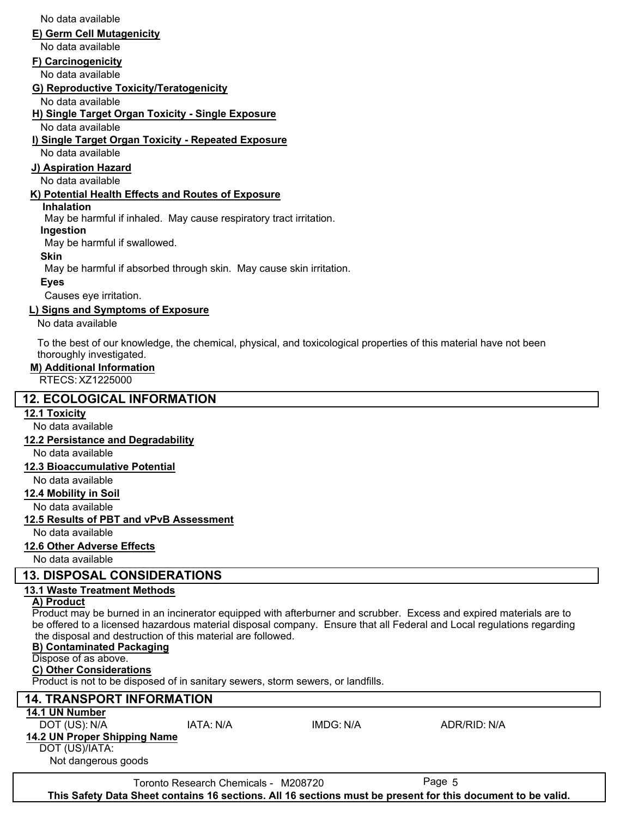**I) Single Target Organ Toxicity - Repeated Exposure J) Aspiration Hazard K) Potential Health Effects and Routes of Exposure Inhalation** No data available No data available No data available May be harmful if inhaled. May cause respiratory tract irritation. May be harmful if swallowed. May be harmful if absorbed through skin. May cause skin irritation. Causes eye irritation. **Ingestion Skin Eyes** No data available **L) Signs and Symptoms of Exposure** To the best of our knowledge, the chemical, physical, and toxicological properties of this material have not been thoroughly investigated. **M) Additional Information** RTECS: XZ1225000  **12. ECOLOGICAL INFORMATION 12.1 Toxicity** No data available **12.2 Persistance and Degradability** No data available **12.3 Bioaccumulative Potential** No data available **12.4 Mobility in Soil** No data available **12.5 Results of PBT and vPvB Assessment** No data available **12.6 Other Adverse Effects** No data available  **13. DISPOSAL CONSIDERATIONS 13.1 Waste Treatment Methods A) Product** Product may be burned in an incinerator equipped with afterburner and scrubber. Excess and expired materials are to be offered to a licensed hazardous material disposal company. Ensure that all Federal and Local regulations regarding the disposal and destruction of this material are followed. **B) Contaminated Packaging** Dispose of as above. **C) Other Considerations** Product is not to be disposed of in sanitary sewers, storm sewers, or landfills.  **14. TRANSPORT INFORMATION 14.1 UN Number** DOT (US): N/A IATA: N/A IMDG: N/A ADR/RID: N/A **14.2 UN Proper Shipping Name** DOT (US)/IATA: Not dangerous goods Toronto Research Chemicals - M208720 Page 5 **This Safety Data Sheet contains 16 sections. All 16 sections must be present for this document to be valid.**

**E) Germ Cell Mutagenicity**

**G) Reproductive Toxicity/Teratogenicity**

**H) Single Target Organ Toxicity - Single Exposure**

**F) Carcinogenicity**

No data available

No data available

No data available

No data available